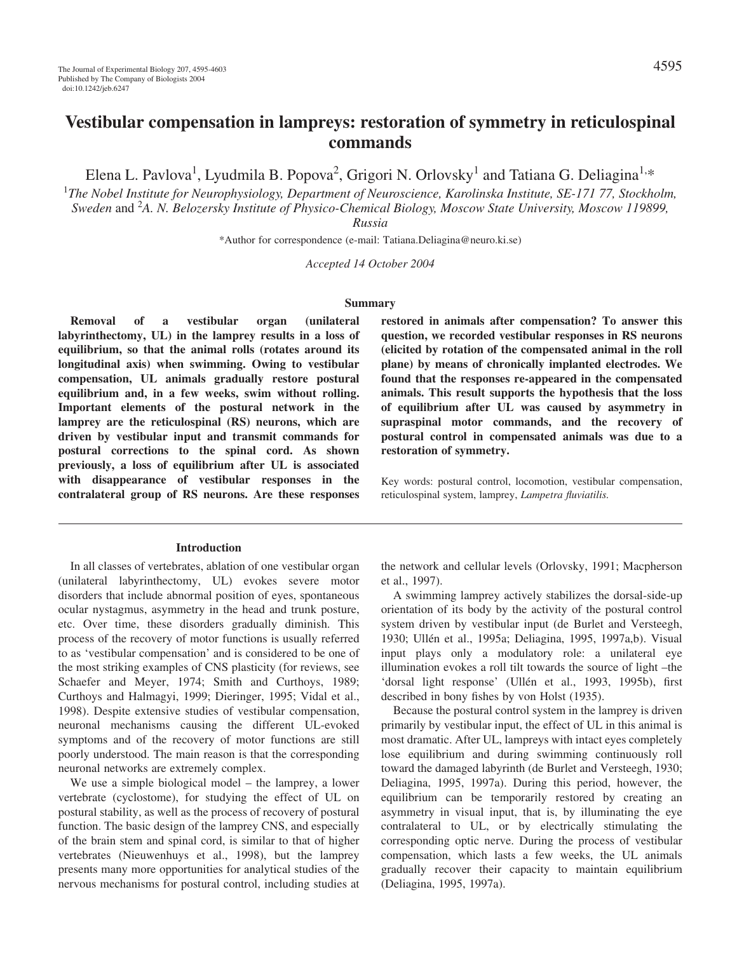Elena L. Pavlova<sup>1</sup>, Lyudmila B. Popova<sup>2</sup>, Grigori N. Orlovsky<sup>1</sup> and Tatiana G. Deliagina<sup>1,\*</sup>

1 *The Nobel Institute for Neurophysiology, Department of Neuroscience, Karolinska Institute, SE-171 77, Stockholm, Sweden* and 2 *A. N. Belozersky Institute of Physico-Chemical Biology, Moscow State University, Moscow 119899,*

*Russia*

\*Author for correspondence (e-mail: Tatiana.Deliagina@neuro.ki.se)

*Accepted 14 October 2004*

#### **Summary**

**Removal of a vestibular organ (unilateral labyrinthectomy, UL) in the lamprey results in a loss of equilibrium, so that the animal rolls (rotates around its longitudinal axis) when swimming. Owing to vestibular compensation, UL animals gradually restore postural equilibrium and, in a few weeks, swim without rolling. Important elements of the postural network in the lamprey are the reticulospinal (RS) neurons, which are driven by vestibular input and transmit commands for postural corrections to the spinal cord. As shown previously, a loss of equilibrium after UL is associated with disappearance of vestibular responses in the contralateral group of RS neurons. Are these responses**

### **Introduction**

In all classes of vertebrates, ablation of one vestibular organ (unilateral labyrinthectomy, UL) evokes severe motor disorders that include abnormal position of eyes, spontaneous ocular nystagmus, asymmetry in the head and trunk posture, etc. Over time, these disorders gradually diminish. This process of the recovery of motor functions is usually referred to as 'vestibular compensation' and is considered to be one of the most striking examples of CNS plasticity (for reviews, see Schaefer and Meyer, 1974; Smith and Curthoys, 1989; Curthoys and Halmagyi, 1999; Dieringer, 1995; Vidal et al., 1998). Despite extensive studies of vestibular compensation, neuronal mechanisms causing the different UL-evoked symptoms and of the recovery of motor functions are still poorly understood. The main reason is that the corresponding neuronal networks are extremely complex.

We use a simple biological model – the lamprey, a lower vertebrate (cyclostome), for studying the effect of UL on postural stability, as well as the process of recovery of postural function. The basic design of the lamprey CNS, and especially of the brain stem and spinal cord, is similar to that of higher vertebrates (Nieuwenhuys et al., 1998), but the lamprey presents many more opportunities for analytical studies of the nervous mechanisms for postural control, including studies at **restored in animals after compensation? To answer this question, we recorded vestibular responses in RS neurons (elicited by rotation of the compensated animal in the roll plane) by means of chronically implanted electrodes. We found that the responses re-appeared in the compensated animals. This result supports the hypothesis that the loss of equilibrium after UL was caused by asymmetry in supraspinal motor commands, and the recovery of postural control in compensated animals was due to a restoration of symmetry.**

Key words: postural control, locomotion, vestibular compensation, reticulospinal system, lamprey, *Lampetra fluviatilis.*

the network and cellular levels (Orlovsky, 1991; Macpherson et al., 1997).

A swimming lamprey actively stabilizes the dorsal-side-up orientation of its body by the activity of the postural control system driven by vestibular input (de Burlet and Versteegh, 1930; Ullén et al., 1995a; Deliagina, 1995, 1997a,b). Visual input plays only a modulatory role: a unilateral eye illumination evokes a roll tilt towards the source of light –the 'dorsal light response' (Ullén et al., 1993, 1995b), first described in bony fishes by von Holst (1935).

Because the postural control system in the lamprey is driven primarily by vestibular input, the effect of UL in this animal is most dramatic. After UL, lampreys with intact eyes completely lose equilibrium and during swimming continuously roll toward the damaged labyrinth (de Burlet and Versteegh, 1930; Deliagina, 1995, 1997a). During this period, however, the equilibrium can be temporarily restored by creating an asymmetry in visual input, that is, by illuminating the eye contralateral to UL, or by electrically stimulating the corresponding optic nerve. During the process of vestibular compensation, which lasts a few weeks, the UL animals gradually recover their capacity to maintain equilibrium (Deliagina, 1995, 1997a).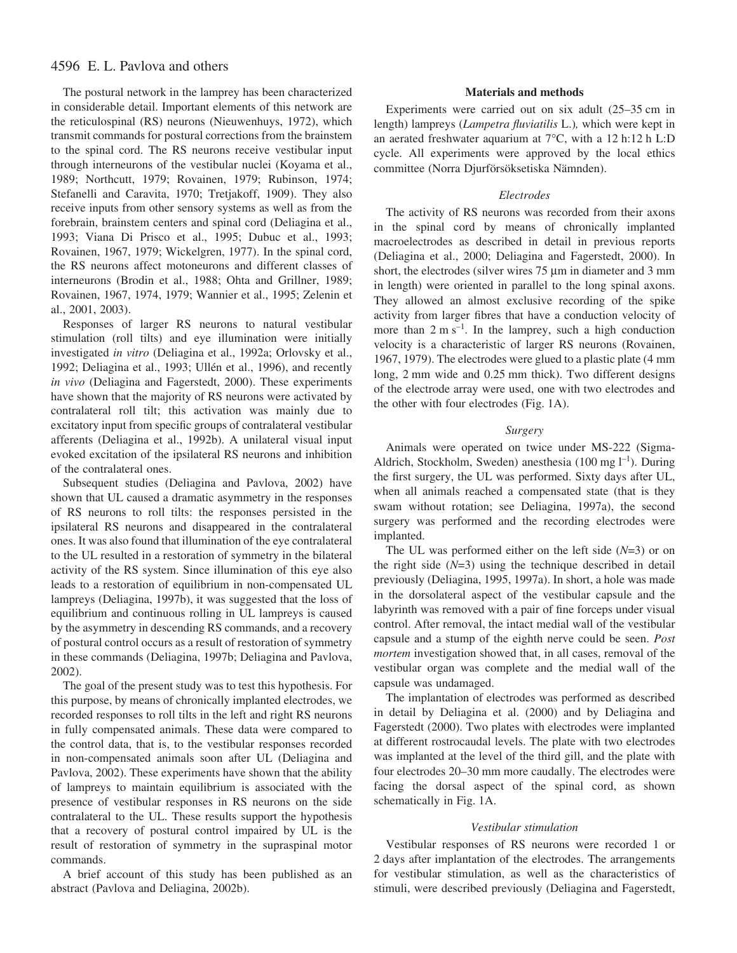# 4596 E. L. Pavlova and others

The postural network in the lamprey has been characterized in considerable detail. Important elements of this network are the reticulospinal (RS) neurons (Nieuwenhuys, 1972), which transmit commands for postural corrections from the brainstem to the spinal cord. The RS neurons receive vestibular input through interneurons of the vestibular nuclei (Koyama et al., 1989; Northcutt, 1979; Rovainen, 1979; Rubinson, 1974; Stefanelli and Caravita, 1970; Tretjakoff, 1909). They also receive inputs from other sensory systems as well as from the forebrain, brainstem centers and spinal cord (Deliagina et al., 1993; Viana Di Prisco et al., 1995; Dubuc et al., 1993; Rovainen, 1967, 1979; Wickelgren, 1977). In the spinal cord, the RS neurons affect motoneurons and different classes of interneurons (Brodin et al., 1988; Ohta and Grillner, 1989; Rovainen, 1967, 1974, 1979; Wannier et al., 1995; Zelenin et al., 2001, 2003).

Responses of larger RS neurons to natural vestibular stimulation (roll tilts) and eye illumination were initially investigated *in vitro* (Deliagina et al., 1992a; Orlovsky et al., 1992; Deliagina et al., 1993; Ullén et al., 1996), and recently *in vivo* (Deliagina and Fagerstedt, 2000). These experiments have shown that the majority of RS neurons were activated by contralateral roll tilt; this activation was mainly due to excitatory input from specific groups of contralateral vestibular afferents (Deliagina et al., 1992b). A unilateral visual input evoked excitation of the ipsilateral RS neurons and inhibition of the contralateral ones.

Subsequent studies (Deliagina and Pavlova, 2002) have shown that UL caused a dramatic asymmetry in the responses of RS neurons to roll tilts: the responses persisted in the ipsilateral RS neurons and disappeared in the contralateral ones. It was also found that illumination of the eye contralateral to the UL resulted in a restoration of symmetry in the bilateral activity of the RS system. Since illumination of this eye also leads to a restoration of equilibrium in non-compensated UL lampreys (Deliagina, 1997b), it was suggested that the loss of equilibrium and continuous rolling in UL lampreys is caused by the asymmetry in descending RS commands, and a recovery of postural control occurs as a result of restoration of symmetry in these commands (Deliagina, 1997b; Deliagina and Pavlova, 2002).

The goal of the present study was to test this hypothesis. For this purpose, by means of chronically implanted electrodes, we recorded responses to roll tilts in the left and right RS neurons in fully compensated animals. These data were compared to the control data, that is, to the vestibular responses recorded in non-compensated animals soon after UL (Deliagina and Pavlova, 2002). These experiments have shown that the ability of lampreys to maintain equilibrium is associated with the presence of vestibular responses in RS neurons on the side contralateral to the UL. These results support the hypothesis that a recovery of postural control impaired by UL is the result of restoration of symmetry in the supraspinal motor commands.

A brief account of this study has been published as an abstract (Pavlova and Deliagina, 2002b).

# **Materials and methods**

Experiments were carried out on six adult  $(25-35 \text{ cm in})$ length) lampreys (*Lampetra fluviatilis* L.)*,* which were kept in an aerated freshwater aquarium at  $7^{\circ}$ C, with a 12 h:12 h L:D cycle. All experiments were approved by the local ethics committee (Norra Djurförsöksetiska Nämnden).

#### *Electrodes*

The activity of RS neurons was recorded from their axons in the spinal cord by means of chronically implanted macroelectrodes as described in detail in previous reports (Deliagina et al., 2000; Deliagina and Fagerstedt, 2000). In short, the electrodes (silver wires  $75~\mu m$  in diameter and 3 mm in length) were oriented in parallel to the long spinal axons. They allowed an almost exclusive recording of the spike activity from larger fibres that have a conduction velocity of more than  $2 \text{ m s}^{-1}$ . In the lamprey, such a high conduction velocity is a characteristic of larger RS neurons (Rovainen, 1967, 1979). The electrodes were glued to a plastic plate (4 mm long,  $2 \text{ mm}$  wide and  $0.25 \text{ mm}$  thick). Two different designs of the electrode array were used, one with two electrodes and the other with four electrodes (Fig. 1A).

#### *Surgery*

Animals were operated on twice under MS-222 (Sigma-Aldrich, Stockholm, Sweden) anesthesia (100 mg  $l^{-1}$ ). During the first surgery, the UL was performed. Sixty days after UL, when all animals reached a compensated state (that is they swam without rotation; see Deliagina, 1997a), the second surgery was performed and the recording electrodes were implanted.

The UL was performed either on the left side (*N*=3) or on the right side (*N*=3) using the technique described in detail previously (Deliagina, 1995, 1997a). In short, a hole was made in the dorsolateral aspect of the vestibular capsule and the labyrinth was removed with a pair of fine forceps under visual control. After removal, the intact medial wall of the vestibular capsule and a stump of the eighth nerve could be seen. *Post mortem* investigation showed that, in all cases, removal of the vestibular organ was complete and the medial wall of the capsule was undamaged.

The implantation of electrodes was performed as described in detail by Deliagina et al. (2000) and by Deliagina and Fagerstedt (2000). Two plates with electrodes were implanted at different rostrocaudal levels. The plate with two electrodes was implanted at the level of the third gill, and the plate with four electrodes 20–30 mm more caudally. The electrodes were facing the dorsal aspect of the spinal cord, as shown schematically in Fig. 1A.

### *Vestibular stimulation*

Vestibular responses of RS neurons were recorded 1 or 2 days after implantation of the electrodes. The arrangements for vestibular stimulation, as well as the characteristics of stimuli, were described previously (Deliagina and Fagerstedt,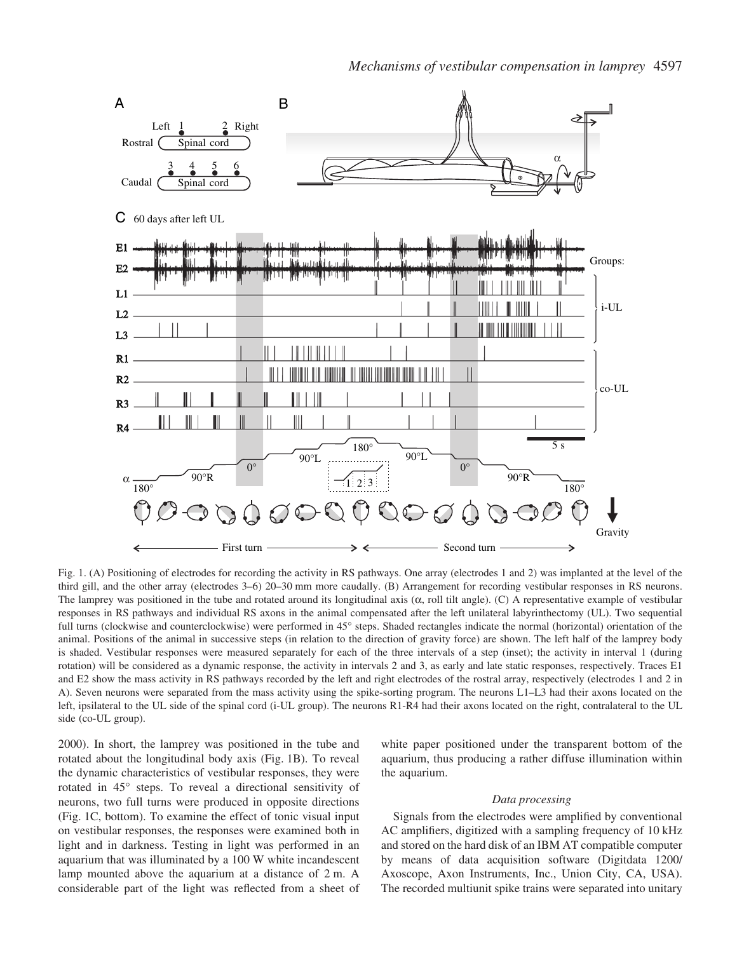

Fig. 1. (A) Positioning of electrodes for recording the activity in RS pathways. One array (electrodes 1 and 2) was implanted at the level of the third gill, and the other array (electrodes 3–6) 20–30 mm more caudally. (B) Arrangement for recording vestibular responses in RS neurons. The lamprey was positioned in the tube and rotated around its longitudinal axis  $(\alpha, \text{roll tilt angle})$ . (C) A representative example of vestibular responses in RS pathways and individual RS axons in the animal compensated after the left unilateral labyrinthectomy (UL). Two sequential full turns (clockwise and counterclockwise) were performed in 45° steps. Shaded rectangles indicate the normal (horizontal) orientation of the animal. Positions of the animal in successive steps (in relation to the direction of gravity force) are shown. The left half of the lamprey body is shaded. Vestibular responses were measured separately for each of the three intervals of a step (inset); the activity in interval 1 (during rotation) will be considered as a dynamic response, the activity in intervals 2 and 3, as early and late static responses, respectively. Traces E1 and E2 show the mass activity in RS pathways recorded by the left and right electrodes of the rostral array, respectively (electrodes 1 and 2 in A). Seven neurons were separated from the mass activity using the spike-sorting program. The neurons L1–L3 had their axons located on the left, ipsilateral to the UL side of the spinal cord (i-UL group). The neurons R1-R4 had their axons located on the right, contralateral to the UL side (co-UL group).

2000). In short, the lamprey was positioned in the tube and rotated about the longitudinal body axis (Fig. 1B). To reveal the dynamic characteristics of vestibular responses, they were rotated in 45° steps. To reveal a directional sensitivity of neurons, two full turns were produced in opposite directions (Fig. 1C, bottom). To examine the effect of tonic visual input on vestibular responses, the responses were examined both in light and in darkness. Testing in light was performed in an aquarium that was illuminated by a 100 W white incandescent lamp mounted above the aquarium at a distance of  $2m$ . A considerable part of the light was reflected from a sheet of white paper positioned under the transparent bottom of the aquarium, thus producing a rather diffuse illumination within the aquarium.

## *Data processing*

Signals from the electrodes were amplified by conventional AC amplifiers, digitized with a sampling frequency of 10 kHz and stored on the hard disk of an IBM AT compatible computer by means of data acquisition software (Digitdata 1200/ Axoscope, Axon Instruments, Inc., Union City, CA, USA). The recorded multiunit spike trains were separated into unitary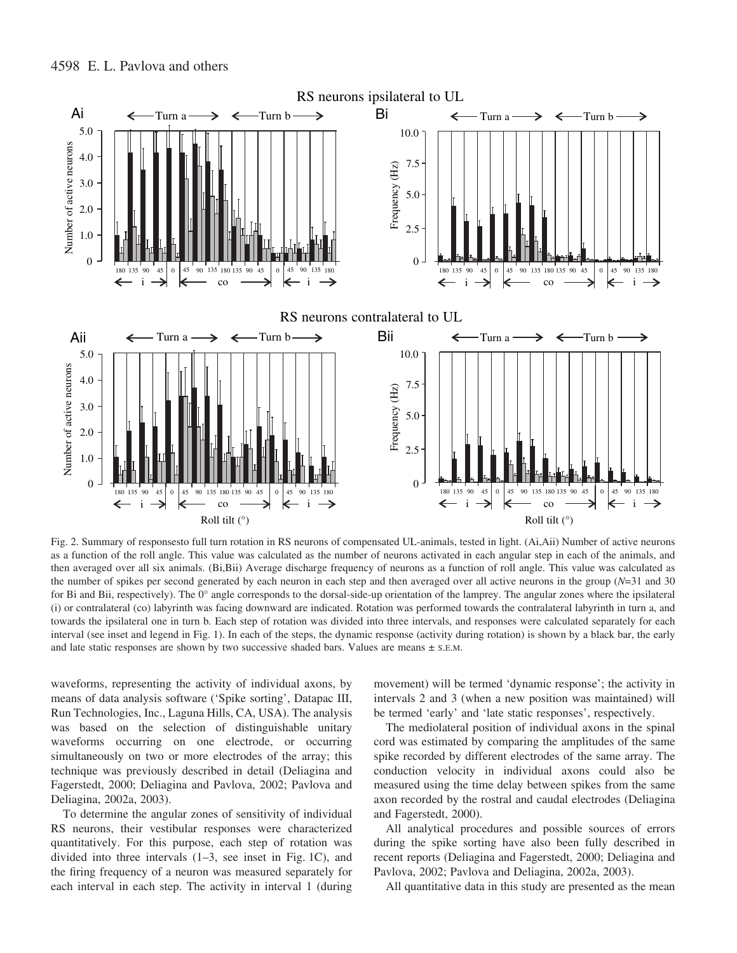

Fig. 2. Summary of responsesto full turn rotation in RS neurons of compensated UL-animals, tested in light. (Ai,Aii) Number of active neurons as a function of the roll angle. This value was calculated as the number of neurons activated in each angular step in each of the animals, and then averaged over all six animals. (Bi,Bii) Average discharge frequency of neurons as a function of roll angle. This value was calculated as the number of spikes per second generated by each neuron in each step and then averaged over all active neurons in the group (*N*=31 and 30 for Bi and Bii, respectively). The 0° angle corresponds to the dorsal-side-up orientation of the lamprey. The angular zones where the ipsilateral (i) or contralateral (co) labyrinth was facing downward are indicated. Rotation was performed towards the contralateral labyrinth in turn a, and towards the ipsilateral one in turn b*.* Each step of rotation was divided into three intervals, and responses were calculated separately for each interval (see inset and legend in Fig. 1). In each of the steps, the dynamic response (activity during rotation) is shown by a black bar, the early and late static responses are shown by two successive shaded bars. Values are means  $\pm$  s.E.M.

waveforms, representing the activity of individual axons, by means of data analysis software ('Spike sorting', Datapac III, Run Technologies, Inc., Laguna Hills, CA, USA). The analysis was based on the selection of distinguishable unitary waveforms occurring on one electrode, or occurring simultaneously on two or more electrodes of the array; this technique was previously described in detail (Deliagina and Fagerstedt, 2000; Deliagina and Pavlova, 2002; Pavlova and Deliagina, 2002a, 2003).

To determine the angular zones of sensitivity of individual RS neurons, their vestibular responses were characterized quantitatively. For this purpose, each step of rotation was divided into three intervals  $(1-3, \text{ see } \text{inset} \text{ in Fig. 1C})$ , and the firing frequency of a neuron was measured separately for each interval in each step. The activity in interval 1 (during movement) will be termed 'dynamic response'; the activity in intervals 2 and 3 (when a new position was maintained) will be termed 'early' and 'late static responses', respectively.

The mediolateral position of individual axons in the spinal cord was estimated by comparing the amplitudes of the same spike recorded by different electrodes of the same array. The conduction velocity in individual axons could also be measured using the time delay between spikes from the same axon recorded by the rostral and caudal electrodes (Deliagina and Fagerstedt, 2000).

All analytical procedures and possible sources of errors during the spike sorting have also been fully described in recent reports (Deliagina and Fagerstedt, 2000; Deliagina and Pavlova, 2002; Pavlova and Deliagina, 2002a, 2003).

All quantitative data in this study are presented as the mean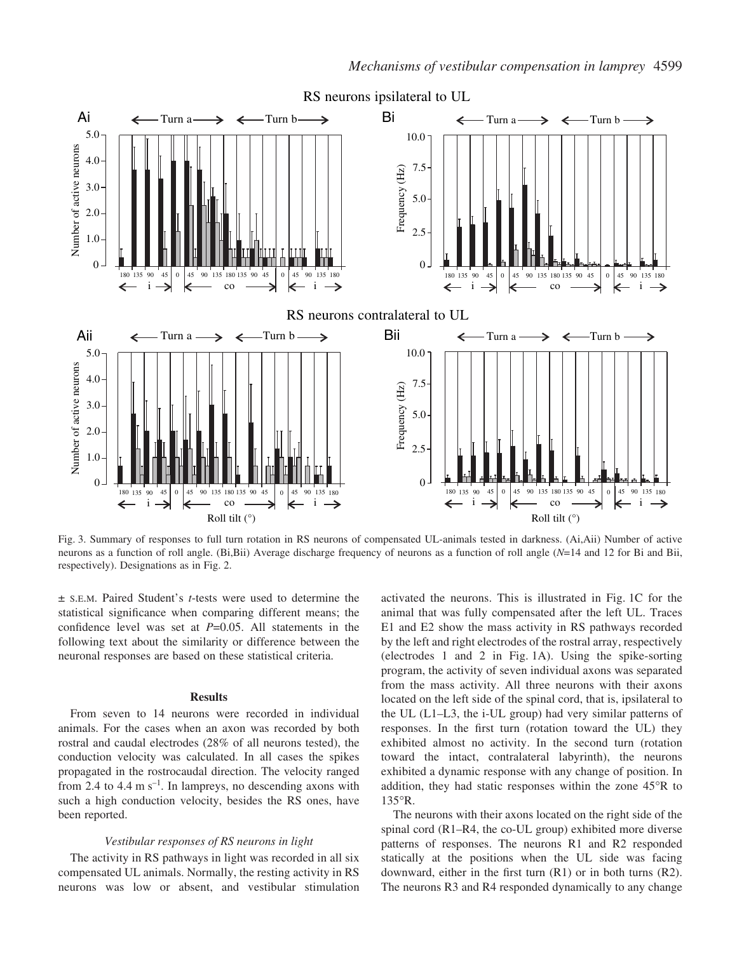

Fig. 3. Summary of responses to full turn rotation in RS neurons of compensated UL-animals tested in darkness. (Ai,Aii) Number of active neurons as a function of roll angle. (Bi,Bii) Average discharge frequency of neurons as a function of roll angle (*N*=14 and 12 for Bi and Bii, respectively). Designations as in Fig. 2.

± S.E.M. Paired Student's *t*-tests were used to determine the statistical significance when comparing different means; the confidence level was set at *P*=0.05. All statements in the following text about the similarity or difference between the neuronal responses are based on these statistical criteria.

### **Results**

From seven to 14 neurons were recorded in individual animals. For the cases when an axon was recorded by both rostral and caudal electrodes (28% of all neurons tested), the conduction velocity was calculated. In all cases the spikes propagated in the rostrocaudal direction. The velocity ranged from 2.4 to 4.4  $\text{m s}^{-1}$ . In lampreys, no descending axons with such a high conduction velocity, besides the RS ones, have been reported.

## *Vestibular responses of RS neurons in light*

The activity in RS pathways in light was recorded in all six compensated UL animals. Normally, the resting activity in RS neurons was low or absent, and vestibular stimulation activated the neurons. This is illustrated in Fig. 1C for the animal that was fully compensated after the left UL. Traces E1 and E2 show the mass activity in RS pathways recorded by the left and right electrodes of the rostral array, respectively (electrodes 1 and 2 in Fig. 1A). Using the spike-sorting program, the activity of seven individual axons was separated from the mass activity. All three neurons with their axons located on the left side of the spinal cord, that is, ipsilateral to the UL (L1–L3, the i-UL group) had very similar patterns of responses. In the first turn (rotation toward the UL) they exhibited almost no activity. In the second turn (rotation toward the intact, contralateral labyrinth), the neurons exhibited a dynamic response with any change of position. In addition, they had static responses within the zone 45°R to 135°R.

The neurons with their axons located on the right side of the spinal cord (R1–R4, the co-UL group) exhibited more diverse patterns of responses. The neurons R1 and R2 responded statically at the positions when the UL side was facing downward, either in the first turn (R1) or in both turns (R2). The neurons R3 and R4 responded dynamically to any change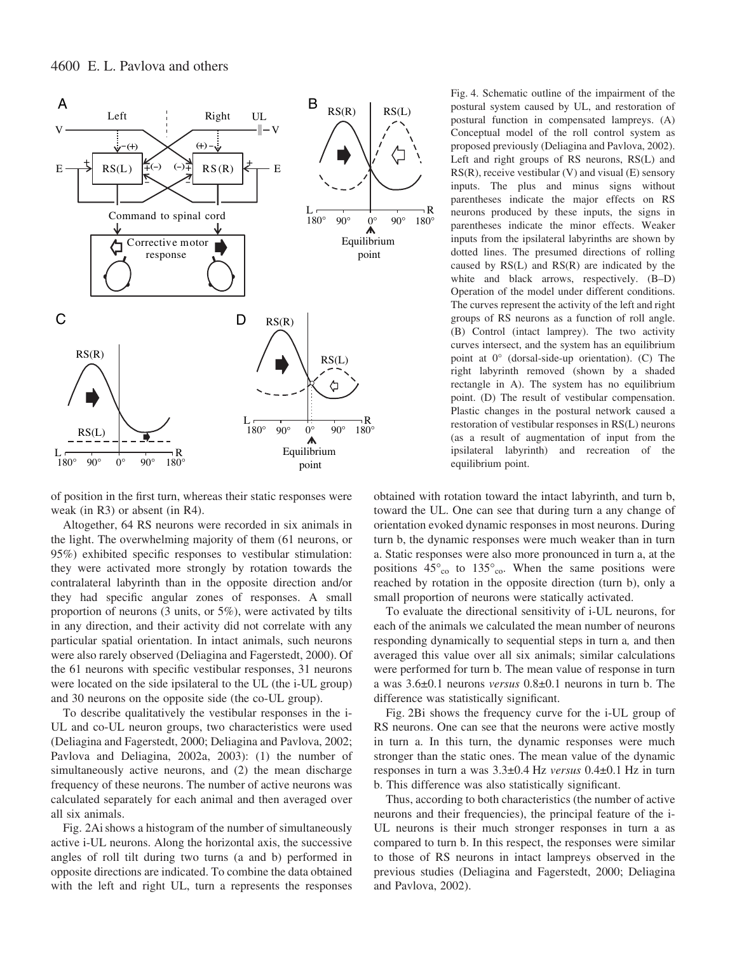

of position in the first turn, whereas their static responses were weak (in R3) or absent (in R4).

Altogether, 64 RS neurons were recorded in six animals in the light. The overwhelming majority of them (61 neurons, or 95%) exhibited specific responses to vestibular stimulation: they were activated more strongly by rotation towards the contralateral labyrinth than in the opposite direction and/or they had specific angular zones of responses. A small proportion of neurons (3 units, or 5%), were activated by tilts in any direction, and their activity did not correlate with any particular spatial orientation. In intact animals, such neurons were also rarely observed (Deliagina and Fagerstedt, 2000). Of the 61 neurons with specific vestibular responses, 31 neurons were located on the side ipsilateral to the UL (the i-UL group) and 30 neurons on the opposite side (the co-UL group).

To describe qualitatively the vestibular responses in the i-UL and co-UL neuron groups, two characteristics were used (Deliagina and Fagerstedt, 2000; Deliagina and Pavlova, 2002; Pavlova and Deliagina, 2002a, 2003): (1) the number of simultaneously active neurons, and (2) the mean discharge frequency of these neurons. The number of active neurons was calculated separately for each animal and then averaged over all six animals.

Fig. 2Ai shows a histogram of the number of simultaneously active i-UL neurons. Along the horizontal axis, the successive angles of roll tilt during two turns (a and b) performed in opposite directions are indicated. To combine the data obtained with the left and right UL, turn a represents the responses

Fig. 4. Schematic outline of the impairment of the postural system caused by UL, and restoration of postural function in compensated lampreys. (A) Conceptual model of the roll control system as proposed previously (Deliagina and Pavlova, 2002). Left and right groups of RS neurons, RS(L) and RS(R), receive vestibular (V) and visual (E) sensory inputs. The plus and minus signs without parentheses indicate the major effects on RS neurons produced by these inputs, the signs in parentheses indicate the minor effects. Weaker inputs from the ipsilateral labyrinths are shown by dotted lines. The presumed directions of rolling caused by RS(L) and RS(R) are indicated by the white and black arrows, respectively. (B–D) Operation of the model under different conditions. The curves represent the activity of the left and right groups of RS neurons as a function of roll angle. (B) Control (intact lamprey). The two activity curves intersect, and the system has an equilibrium point at 0° (dorsal-side-up orientation). (C) The right labyrinth removed (shown by a shaded rectangle in A). The system has no equilibrium point. (D) The result of vestibular compensation. Plastic changes in the postural network caused a restoration of vestibular responses in RS(L) neurons (as a result of augmentation of input from the ipsilateral labyrinth) and recreation of the equilibrium point.

obtained with rotation toward the intact labyrinth, and turn b, toward the UL. One can see that during turn a any change of orientation evoked dynamic responses in most neurons. During turn b, the dynamic responses were much weaker than in turn a. Static responses were also more pronounced in turn a, at the positions  $45^\circ_{\text{co}}$  to  $135^\circ_{\text{co}}$ . When the same positions were reached by rotation in the opposite direction (turn b), only a small proportion of neurons were statically activated.

To evaluate the directional sensitivity of i-UL neurons, for each of the animals we calculated the mean number of neurons responding dynamically to sequential steps in turn a*,* and then averaged this value over all six animals; similar calculations were performed for turn b. The mean value of response in turn a was 3.6±0.1 neurons *versus* 0.8±0.1 neurons in turn b. The difference was statistically significant.

Fig. 2Bi shows the frequency curve for the i-UL group of RS neurons. One can see that the neurons were active mostly in turn a. In this turn, the dynamic responses were much stronger than the static ones. The mean value of the dynamic responses in turn a was  $3.3\pm0.4$  Hz *versus*  $0.4\pm0.1$  Hz in turn b. This difference was also statistically significant.

Thus, according to both characteristics (the number of active neurons and their frequencies), the principal feature of the i-UL neurons is their much stronger responses in turn a as compared to turn b. In this respect, the responses were similar to those of RS neurons in intact lampreys observed in the previous studies (Deliagina and Fagerstedt, 2000; Deliagina and Pavlova, 2002).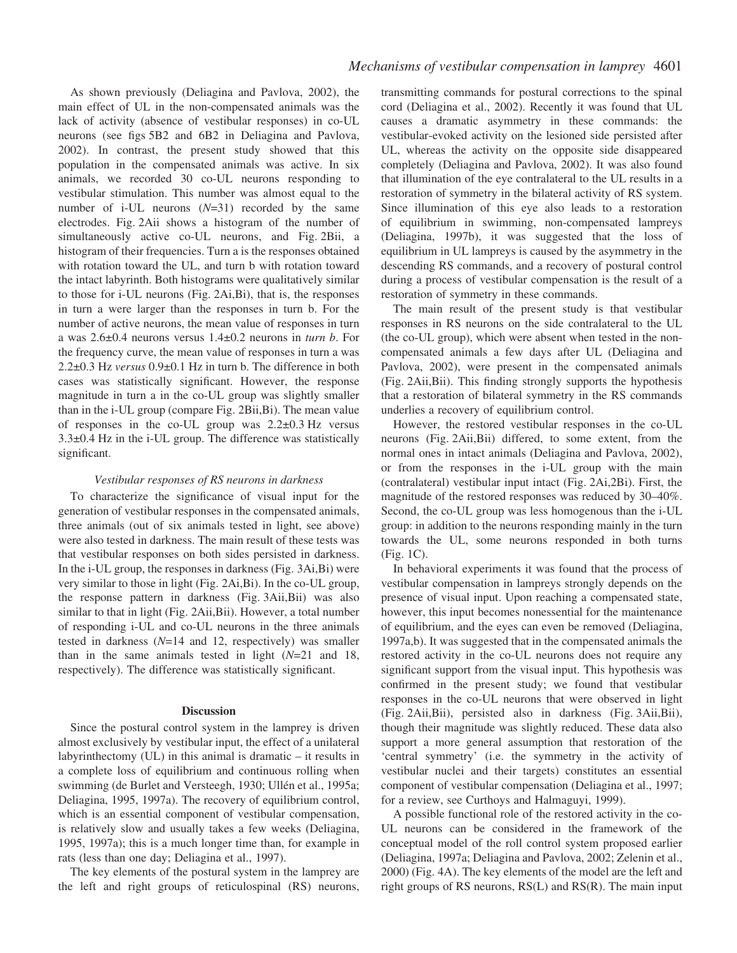As shown previously (Deliagina and Pavlova, 2002), the main effect of UL in the non-compensated animals was the lack of activity (absence of vestibular responses) in co-UL neurons (see figs 5B2 and 6B2 in Deliagina and Pavlova, 2002). In contrast, the present study showed that this population in the compensated animals was active. In six animals, we recorded 30 co-UL neurons responding to vestibular stimulation. This number was almost equal to the number of i-UL neurons (*N*=31) recorded by the same electrodes. Fig. 2Aii shows a histogram of the number of simultaneously active co-UL neurons, and Fig. 2Bii, a histogram of their frequencies. Turn a is the responses obtained with rotation toward the UL, and turn b with rotation toward the intact labyrinth. Both histograms were qualitatively similar to those for  $i$ -UL neurons (Fig. 2Ai,Bi), that is, the responses in turn a were larger than the responses in turn b. For the number of active neurons, the mean value of responses in turn a was 2.6±0.4 neurons versus 1.4±0.2 neurons in *turn b*. For the frequency curve, the mean value of responses in turn a was 2.2±0.3·Hz *versus* 0.9±0.1·Hz in turn b. The difference in both cases was statistically significant. However, the response magnitude in turn a in the co-UL group was slightly smaller than in the i-UL group (compare Fig. 2Bii,Bi). The mean value of responses in the co-UL group was  $2.2\pm0.3$  Hz versus  $3.3\pm0.4$  Hz in the i-UL group. The difference was statistically significant.

# *Vestibular responses of RS neurons in darkness*

To characterize the significance of visual input for the generation of vestibular responses in the compensated animals, three animals (out of six animals tested in light, see above) were also tested in darkness. The main result of these tests was that vestibular responses on both sides persisted in darkness. In the i-UL group, the responses in darkness (Fig. 3Ai,Bi) were very similar to those in light (Fig. 2Ai,Bi). In the co-UL group, the response pattern in darkness (Fig. 3Aii,Bii) was also similar to that in light (Fig. 2Aii,Bii). However, a total number of responding i-UL and co-UL neurons in the three animals tested in darkness (*N*=14 and 12, respectively) was smaller than in the same animals tested in light (*N*=21 and 18, respectively). The difference was statistically significant.

#### **Discussion**

Since the postural control system in the lamprey is driven almost exclusively by vestibular input, the effect of a unilateral labyrinthectomy (UL) in this animal is dramatic – it results in a complete loss of equilibrium and continuous rolling when swimming (de Burlet and Versteegh, 1930; Ullén et al., 1995a; Deliagina, 1995, 1997a). The recovery of equilibrium control, which is an essential component of vestibular compensation, is relatively slow and usually takes a few weeks (Deliagina, 1995, 1997a); this is a much longer time than, for example in rats (less than one day; Deliagina et al., 1997).

The key elements of the postural system in the lamprey are the left and right groups of reticulospinal (RS) neurons,

transmitting commands for postural corrections to the spinal cord (Deliagina et al., 2002). Recently it was found that UL causes a dramatic asymmetry in these commands: the vestibular-evoked activity on the lesioned side persisted after UL, whereas the activity on the opposite side disappeared completely (Deliagina and Pavlova, 2002). It was also found that illumination of the eye contralateral to the UL results in a restoration of symmetry in the bilateral activity of RS system. Since illumination of this eye also leads to a restoration of equilibrium in swimming, non-compensated lampreys (Deliagina, 1997b), it was suggested that the loss of equilibrium in UL lampreys is caused by the asymmetry in the descending RS commands, and a recovery of postural control during a process of vestibular compensation is the result of a restoration of symmetry in these commands.

The main result of the present study is that vestibular responses in RS neurons on the side contralateral to the UL (the co-UL group), which were absent when tested in the noncompensated animals a few days after UL (Deliagina and Pavlova, 2002), were present in the compensated animals (Fig. 2Aii,Bii). This finding strongly supports the hypothesis that a restoration of bilateral symmetry in the RS commands underlies a recovery of equilibrium control.

However, the restored vestibular responses in the co-UL neurons (Fig. 2Aii,Bii) differed, to some extent, from the normal ones in intact animals (Deliagina and Pavlova, 2002), or from the responses in the i-UL group with the main (contralateral) vestibular input intact (Fig. 2Ai,2Bi). First, the magnitude of the restored responses was reduced by 30–40%. Second, the co-UL group was less homogenous than the i-UL group: in addition to the neurons responding mainly in the turn towards the UL, some neurons responded in both turns  $(Fig. 1C)$ .

In behavioral experiments it was found that the process of vestibular compensation in lampreys strongly depends on the presence of visual input. Upon reaching a compensated state, however, this input becomes nonessential for the maintenance of equilibrium, and the eyes can even be removed (Deliagina, 1997a,b). It was suggested that in the compensated animals the restored activity in the co-UL neurons does not require any significant support from the visual input. This hypothesis was confirmed in the present study; we found that vestibular responses in the co-UL neurons that were observed in light (Fig. 2Aii,Bii), persisted also in darkness (Fig. 3Aii,Bii), though their magnitude was slightly reduced. These data also support a more general assumption that restoration of the 'central symmetry' (i.e. the symmetry in the activity of vestibular nuclei and their targets) constitutes an essential component of vestibular compensation (Deliagina et al., 1997; for a review, see Curthoys and Halmaguyi, 1999).

A possible functional role of the restored activity in the co-UL neurons can be considered in the framework of the conceptual model of the roll control system proposed earlier (Deliagina, 1997a; Deliagina and Pavlova, 2002; Zelenin et al., 2000) (Fig. 4A). The key elements of the model are the left and right groups of RS neurons, RS(L) and RS(R). The main input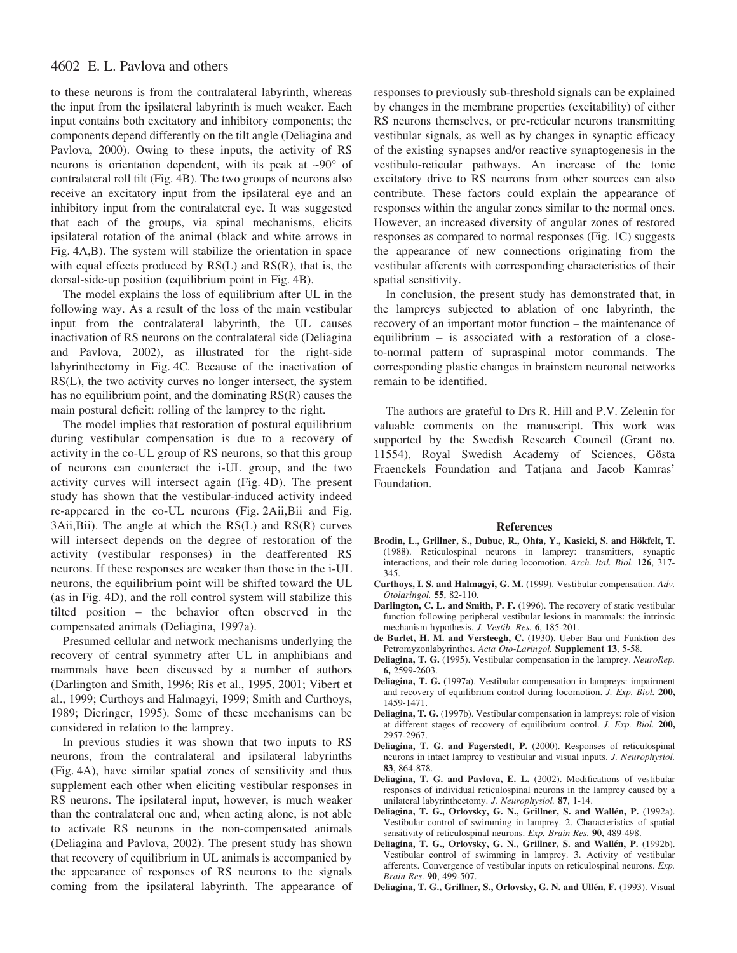# 4602 E. L. Pavlova and others

to these neurons is from the contralateral labyrinth, whereas the input from the ipsilateral labyrinth is much weaker. Each input contains both excitatory and inhibitory components; the components depend differently on the tilt angle (Deliagina and Pavlova, 2000). Owing to these inputs, the activity of RS neurons is orientation dependent, with its peak at  $\sim 90^\circ$  of contralateral roll tilt (Fig. 4B). The two groups of neurons also receive an excitatory input from the ipsilateral eye and an inhibitory input from the contralateral eye. It was suggested that each of the groups, via spinal mechanisms, elicits ipsilateral rotation of the animal (black and white arrows in Fig. 4A,B). The system will stabilize the orientation in space with equal effects produced by  $\text{RS}(L)$  and  $\text{RS}(R)$ , that is, the dorsal-side-up position (equilibrium point in Fig. 4B).

The model explains the loss of equilibrium after UL in the following way. As a result of the loss of the main vestibular input from the contralateral labyrinth, the UL causes inactivation of RS neurons on the contralateral side (Deliagina and Pavlova, 2002), as illustrated for the right-side labyrinthectomy in Fig. 4C. Because of the inactivation of RS(L), the two activity curves no longer intersect, the system has no equilibrium point, and the dominating RS(R) causes the main postural deficit: rolling of the lamprey to the right.

The model implies that restoration of postural equilibrium during vestibular compensation is due to a recovery of activity in the co-UL group of RS neurons, so that this group of neurons can counteract the i-UL group, and the two activity curves will intersect again (Fig. 4D). The present study has shown that the vestibular-induced activity indeed re-appeared in the co-UL neurons (Fig. 2Aii,Bii and Fig.  $3Aii,Bii$ ). The angle at which the  $RS(L)$  and  $RS(R)$  curves will intersect depends on the degree of restoration of the activity (vestibular responses) in the deafferented RS neurons. If these responses are weaker than those in the i-UL neurons, the equilibrium point will be shifted toward the UL (as in Fig. 4D), and the roll control system will stabilize this tilted position – the behavior often observed in the compensated animals (Deliagina, 1997a).

Presumed cellular and network mechanisms underlying the recovery of central symmetry after UL in amphibians and mammals have been discussed by a number of authors (Darlington and Smith, 1996; Ris et al., 1995, 2001; Vibert et al., 1999; Curthoys and Halmagyi, 1999; Smith and Curthoys, 1989; Dieringer, 1995). Some of these mechanisms can be considered in relation to the lamprey.

In previous studies it was shown that two inputs to RS neurons, from the contralateral and ipsilateral labyrinths (Fig. 4A), have similar spatial zones of sensitivity and thus supplement each other when eliciting vestibular responses in RS neurons. The ipsilateral input, however, is much weaker than the contralateral one and, when acting alone, is not able to activate RS neurons in the non-compensated animals (Deliagina and Pavlova, 2002). The present study has shown that recovery of equilibrium in UL animals is accompanied by the appearance of responses of RS neurons to the signals coming from the ipsilateral labyrinth. The appearance of responses to previously sub-threshold signals can be explained by changes in the membrane properties (excitability) of either RS neurons themselves, or pre-reticular neurons transmitting vestibular signals, as well as by changes in synaptic efficacy of the existing synapses and/or reactive synaptogenesis in the vestibulo-reticular pathways. An increase of the tonic excitatory drive to RS neurons from other sources can also contribute. These factors could explain the appearance of responses within the angular zones similar to the normal ones. However, an increased diversity of angular zones of restored responses as compared to normal responses (Fig. 1C) suggests the appearance of new connections originating from the vestibular afferents with corresponding characteristics of their spatial sensitivity.

In conclusion, the present study has demonstrated that, in the lampreys subjected to ablation of one labyrinth, the recovery of an important motor function – the maintenance of equilibrium – is associated with a restoration of a closeto-normal pattern of supraspinal motor commands. The corresponding plastic changes in brainstem neuronal networks remain to be identified.

The authors are grateful to Drs R. Hill and P.V. Zelenin for valuable comments on the manuscript. This work was supported by the Swedish Research Council (Grant no. 11554), Royal Swedish Academy of Sciences, Gösta Fraenckels Foundation and Tatjana and Jacob Kamras' Foundation.

### **References**

- **Brodin, L., Grillner, S., Dubuc, R., Ohta, Y., Kasicki, S. and Hökfelt, T.** (1988). Reticulospinal neurons in lamprey: transmitters, synaptic interactions, and their role during locomotion. *Arch. Ital. Biol.* **126**, 317- 345.
- **Curthoys, I. S. and Halmagyi, G. M.** (1999). Vestibular compensation. *Adv. Otolaringol.* **55**, 82-110.
- **Darlington, C. L. and Smith, P. F.** (1996). The recovery of static vestibular function following peripheral vestibular lesions in mammals: the intrinsic mechanism hypothesis. *J. Vestib. Res.* **6**, 185-201.
- **de Burlet, H. M. and Versteegh, C.** (1930). Ueber Bau und Funktion des Petromyzonlabyrinthes. *Acta Oto-Laringol.* **Supplement 13**, 5-58.
- **Deliagina, T. G.** (1995). Vestibular compensation in the lamprey. *NeuroRep.* **6,** 2599-2603.
- **Deliagina, T. G.** (1997a). Vestibular compensation in lampreys: impairment and recovery of equilibrium control during locomotion. *J. Exp. Biol.* **200,** 1459-1471.
- **Deliagina, T. G.** (1997b). Vestibular compensation in lampreys: role of vision at different stages of recovery of equilibrium control. *J. Exp. Biol.* **200,** 2957-2967.
- **Deliagina, T. G. and Fagerstedt, P.** (2000). Responses of reticulospinal neurons in intact lamprey to vestibular and visual inputs. *J. Neurophysiol.* **83**, 864-878.
- **Deliagina, T. G. and Pavlova, E. L.** (2002). Modifications of vestibular responses of individual reticulospinal neurons in the lamprey caused by a unilateral labyrinthectomy. *J. Neurophysiol.* **87**, 1-14.
- **Deliagina, T. G., Orlovsky, G. N., Grillner, S. and Wallén, P.** (1992a). Vestibular control of swimming in lamprey. 2. Characteristics of spatial sensitivity of reticulospinal neurons. *Exp. Brain Res.* **90**, 489-498.
- **Deliagina, T. G., Orlovsky, G. N., Grillner, S. and Wallén, P.** (1992b). Vestibular control of swimming in lamprey. 3. Activity of vestibular afferents. Convergence of vestibular inputs on reticulospinal neurons. *Exp. Brain Res.* **90**, 499-507.
- **Deliagina, T. G., Grillner, S., Orlovsky, G. N. and Ullén, F.** (1993). Visual